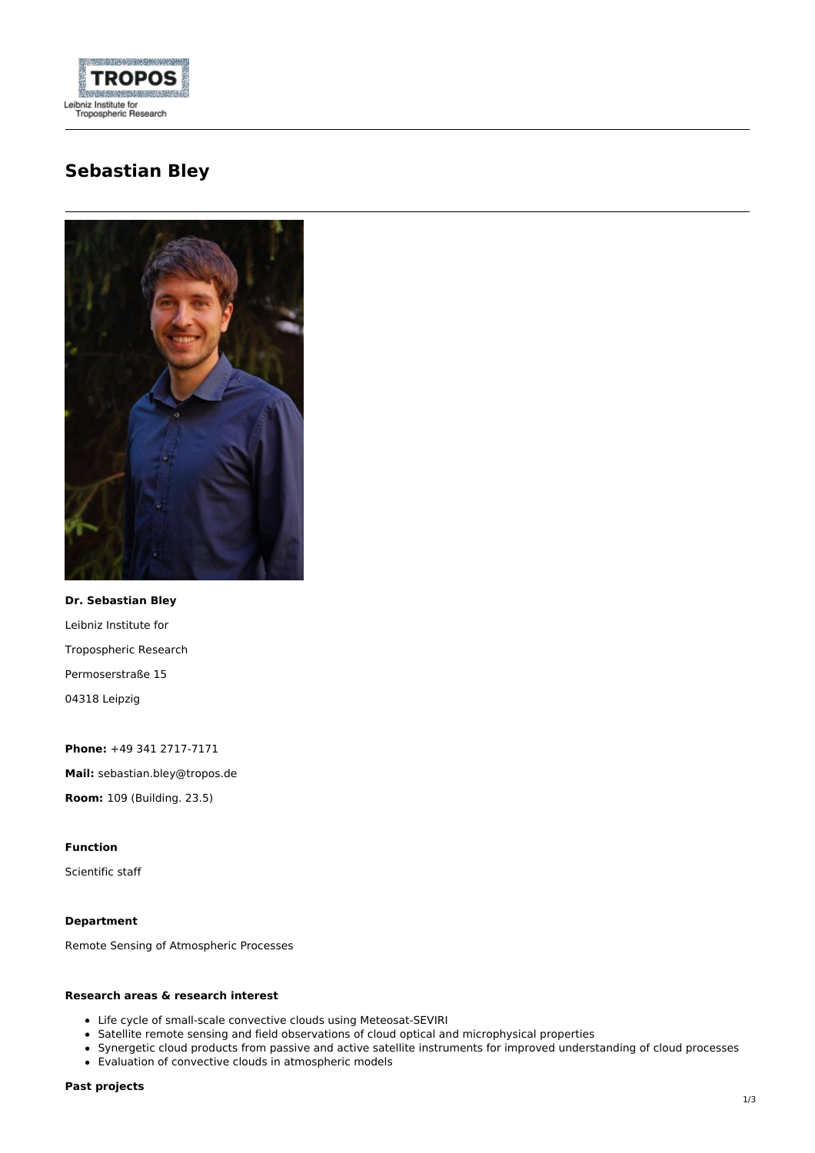

# **Sebastian Bley**



**Dr. Sebastian Bley** Leibniz Institute for Tropospheric Research Permoserstraße 15 04318 Leipzig

**Phone:** +49 341 2717-7171 **Mail:** sebastian.bley@tropos.de **Room:** 109 (Building. 23.5)

## **Function**

Scientific staff

## **Department**

Remote Sensing of Atmospheric Processes

## **Research areas & research interest**

- Life cycle of small-scale convective clouds using Meteosat-SEVIRI
- Satellite remote sensing and field observations of cloud optical and microphysical properties
- Synergetic cloud products from passive and active satellite instruments for improved understanding of cloud processes
- Evaluation of convective clouds in atmospheric models

#### **Past projects**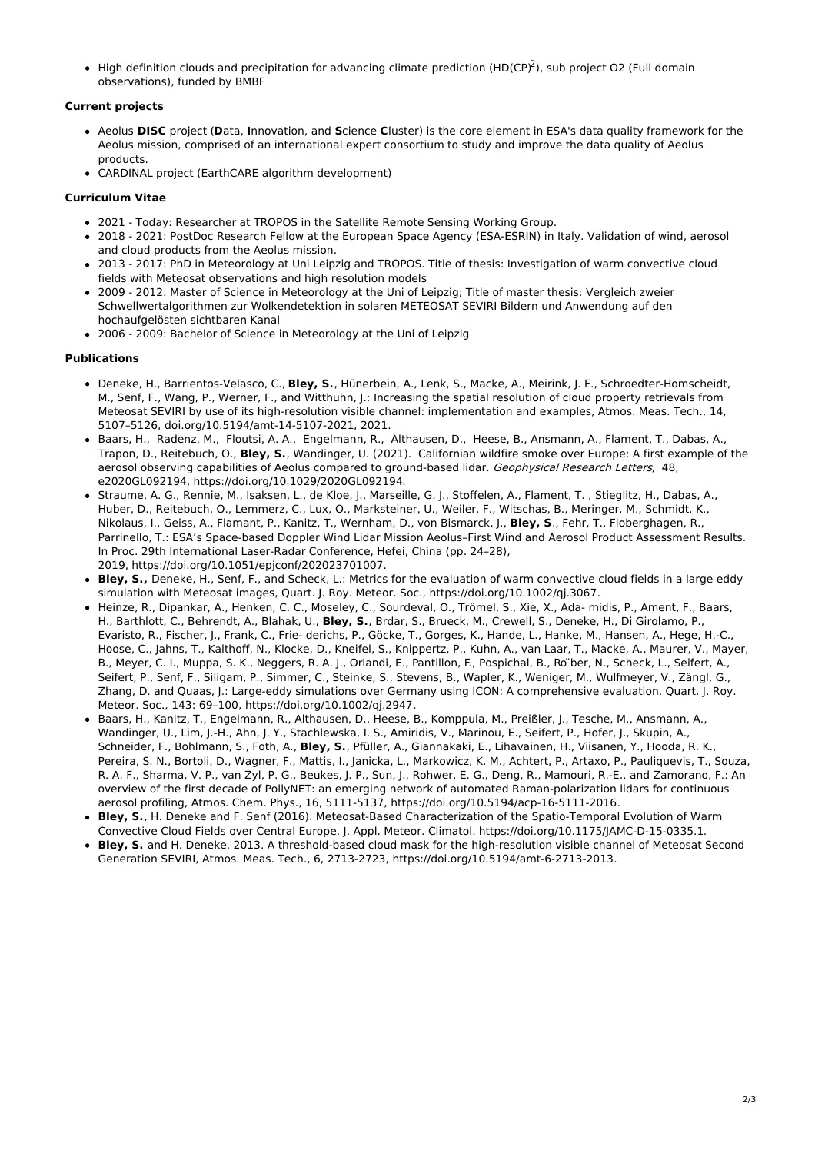• High definition clouds and precipitation for advancing climate prediction (HD(CP)<sup>2</sup>), sub project O2 (Full domain observations), funded by BMBF

## **Current projects**

- Aeolus **DISC** project (**D**ata, **I**nnovation, and **S**cience **C**luster) is the core element in ESA's data quality framework for the Aeolus mission, comprised of an international expert consortium to study and improve the data quality of Aeolus products.
- CARDINAL project (EarthCARE algorithm development)

## **Curriculum Vitae**

- 2021 Today: Researcher at TROPOS in the Satellite Remote Sensing Working Group.
- 2018 2021: PostDoc Research Fellow at the European Space Agency (ESA-ESRIN) in Italy. Validation of wind, aerosol and cloud products from the Aeolus mission.
- 2013 2017: PhD in Meteorology at Uni Leipzig and TROPOS. Title of thesis: Investigation of warm convective cloud fields with Meteosat observations and high resolution models
- 2009 2012: Master of Science in Meteorology at the Uni of Leipzig; Title of master thesis: Vergleich zweier Schwellwertalgorithmen zur Wolkendetektion in solaren METEOSAT SEVIRI Bildern und Anwendung auf den hochaufgelösten sichtbaren Kanal
- 2006 2009: Bachelor of Science in Meteorology at the Uni of Leipzig

## **Publications**

- Deneke, H., Barrientos-Velasco, C., **Bley, S.**, Hünerbein, A., Lenk, S., Macke, A., Meirink, J. F., Schroedter-Homscheidt, M., Senf, F., Wang, P., Werner, F., and Witthuhn, J.: Increasing the spatial resolution of cloud property retrievals from Meteosat SEVIRI by use of its high-resolution visible channel: implementation and examples, Atmos. Meas. Tech., 14, 5107–5126, [doi.org/10.5194/amt-14-5107-2021](https://doi.org/10.5194/amt-14-5107-2021), 2021.
- Baars, H., Radenz, M., Floutsi, A. A., Engelmann, R., Althausen, D., Heese, B., Ansmann, A., Flament, T., Dabas, A., Trapon, D., Reitebuch, O., **Bley, S.**, Wandinger, U. (2021). Californian wildfire smoke over Europe: A first example of the aerosol observing capabilities of Aeolus compared to ground-based lidar. Geophysical Research Letters, 48, e2020GL092194, <https://doi.org/10.1029/2020GL092194>.
- Straume, A. G., Rennie, M., Isaksen, L., de Kloe, J., Marseille, G. J., Stoffelen, A., Flament, T. , Stieglitz, H., Dabas, A., Huber, D., Reitebuch, O., Lemmerz, C., Lux, O., Marksteiner, U., Weiler, F., Witschas, B., Meringer, M., Schmidt, K., Nikolaus, I., Geiss, A., Flamant, P., Kanitz, T., Wernham, D., von Bismarck, J., **Bley, S**., Fehr, T., Floberghagen, R., Parrinello, T.: ESA's Space-based Doppler Wind Lidar Mission Aeolus–First Wind and Aerosol Product Assessment Results. In Proc. 29th International Laser-Radar Conference, Hefei, China (pp. 24–28), 2019, [https://doi.org/10.1051/epjconf/202023701007.](https://doi.org/10.1051/epjconf/202023701007)
- **Bley, S.,** Deneke, H., Senf, F., and Scheck, L.: Metrics for the evaluation of warm convective cloud fields in a large eddy simulation with Meteosat images, Quart. J. Roy. Meteor. Soc., <https://doi.org/10.1002/qj.3067>.
- Heinze, R., Dipankar, A., Henken, C. C., Moseley, C., Sourdeval, O., Trömel, S., Xie, X., Ada- midis, P., Ament, F., Baars, H., Barthlott, C., Behrendt, A., Blahak, U., **Bley, S.**, Brdar, S., Brueck, M., Crewell, S., Deneke, H., Di Girolamo, P., Evaristo, R., Fischer, J., Frank, C., Frie- derichs, P., Göcke, T., Gorges, K., Hande, L., Hanke, M., Hansen, A., Hege, H.-C., Hoose, C., Jahns, T., Kalthoff, N., Klocke, D., Kneifel, S., Knippertz, P., Kuhn, A., van Laar, T., Macke, A., Maurer, V., Mayer, B., Meyer, C. I., Muppa, S. K., Neggers, R. A. J., Orlandi, E., Pantillon, F., Pospichal, B., Ro ber, N., Scheck, L., Seifert, A., Seifert, P., Senf, F., Siligam, P., Simmer, C., Steinke, S., Stevens, B., Wapler, K., Weniger, M., Wulfmeyer, V., Zängl, G., Zhang, D. and Quaas, J.: Large-eddy simulations over Germany using ICON: A comprehensive evaluation. Quart. J. Roy. Meteor. Soc., 143: 69–100, <https://doi.org/10.1002/qj.2947>.
- Baars, H., Kanitz, T., Engelmann, R., Althausen, D., Heese, B., Komppula, M., Preißler, J., Tesche, M., Ansmann, A., Wandinger, U., Lim, J.-H., Ahn, J. Y., Stachlewska, I. S., Amiridis, V., Marinou, E., Seifert, P., Hofer, J., Skupin, A., Schneider, F., Bohlmann, S., Foth, A., **Bley, S.**, Pfüller, A., Giannakaki, E., Lihavainen, H., Viisanen, Y., Hooda, R. K., Pereira, S. N., Bortoli, D., Wagner, F., Mattis, I., Janicka, L., Markowicz, K. M., Achtert, P., Artaxo, P., Pauliquevis, T., Souza, R. A. F., Sharma, V. P., van Zyl, P. G., Beukes, J. P., Sun, J., Rohwer, E. G., Deng, R., Mamouri, R.-E., and Zamorano, F.: An overview of the first decade of PollyNET: an emerging network of automated Raman-polarization lidars for continuous aerosol profiling, Atmos. Chem. Phys., 16, 5111-5137, <https://doi.org/10.5194/acp-16-5111-2016>.
- **Bley, S.**, H. Deneke and F. Senf (2016). Meteosat-Based Characterization of the Spatio-Temporal Evolution of Warm Convective Cloud Fields over Central Europe. J. Appl. Meteor. Climatol. <https://doi.org/10.1175/JAMC-D-15-0335.1>.
- **Bley, S.** and H. Deneke. 2013. A threshold-based cloud mask for the high-resolution visible channel of Meteosat Second Generation SEVIRI, Atmos. Meas. Tech., 6, 2713-2723, <https://doi.org/10.5194/amt-6-2713-2013>.